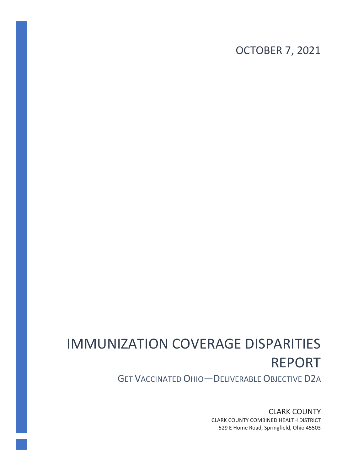OCTOBER 7, 2021

# IMMUNIZATION COVERAGE DISPARITIES REPORT

GET VACCINATED OHIO—DELIVERABLE OBJECTIVE D2A

CLARK COUNTY CLARK COUNTY COMBINED HEALTH DISTRICT 529 E Home Road, Springfield, Ohio 45503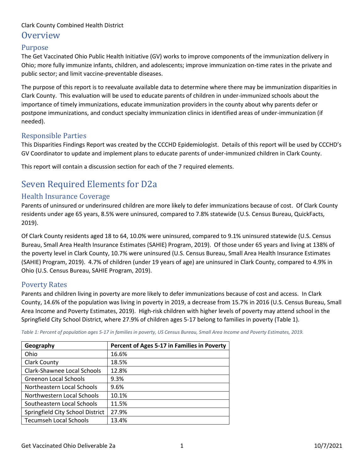## Purpose

The Get Vaccinated Ohio Public Health Initiative (GV) works to improve components of the immunization delivery in Ohio; more fully immunize infants, children, and adolescents; improve immunization on-time rates in the private and public sector; and limit vaccine-preventable diseases.

The purpose of this report is to reevaluate available data to determine where there may be immunization disparities in Clark County. This evaluation will be used to educate parents of children in under-immunized schools about the importance of timely immunizations, educate immunization providers in the county about why parents defer or postpone immunizations, and conduct specialty immunization clinics in identified areas of under-immunization (if needed).

## Responsible Parties

This Disparities Findings Report was created by the CCCHD Epidemiologist. Details of this report will be used by CCCHD's GV Coordinator to update and implement plans to educate parents of under-immunized children in Clark County.

This report will contain a discussion section for each of the 7 required elements.

## Seven Required Elements for D2a

## Health Insurance Coverage

Parents of uninsured or underinsured children are more likely to defer immunizations because of cost. Of Clark County residents under age 65 years, 8.5% were uninsured, compared to 7.8% statewide (U.S. Census Bureau, QuickFacts, 2019).

Of Clark County residents aged 18 to 64, 10.0% were uninsured, compared to 9.1% uninsured statewide (U.S. Census Bureau, Small Area Health Insurance Estimates (SAHIE) Program, 2019). Of those under 65 years and living at 138% of the poverty level in Clark County, 10.7% were uninsured (U.S. Census Bureau, Small Area Health Insurance Estimates (SAHIE) Program, 2019). 4.7% of children (under 19 years of age) are uninsured in Clark County, compared to 4.9% in Ohio (U.S. Census Bureau, SAHIE Program, 2019).

## Poverty Rates

Parents and children living in poverty are more likely to defer immunizations because of cost and access. In Clark County, 14.6% of the population was living in poverty in 2019, a decrease from 15.7% in 2016 (U.S. Census Bureau, Small Area Income and Poverty Estimates, 2019). High-risk children with higher levels of poverty may attend school in the Springfield City School District, where 27.9% of children ages 5-17 belong to families in poverty (Table 1).

| Geography                        | Percent of Ages 5-17 in Families in Poverty |
|----------------------------------|---------------------------------------------|
| Ohio                             | 16.6%                                       |
| <b>Clark County</b>              | 18.5%                                       |
| Clark-Shawnee Local Schools      | 12.8%                                       |
| Greenon Local Schools            | 9.3%                                        |
| Northeastern Local Schools       | 9.6%                                        |
| Northwestern Local Schools       | 10.1%                                       |
| Southeastern Local Schools       | 11.5%                                       |
| Springfield City School District | 27.9%                                       |
| <b>Tecumseh Local Schools</b>    | 13.4%                                       |

*Table 1: Percent of population ages 5-17 in families in poverty, US Census Bureau, Small Area Income and Poverty Estimates, 2019.*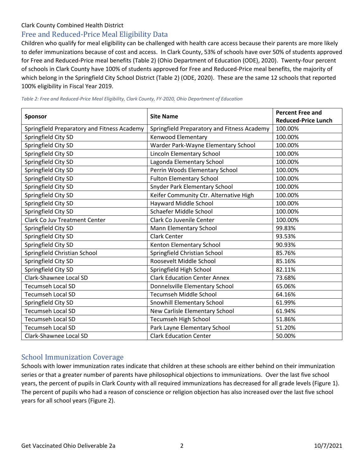## Free and Reduced-Price Meal Eligibility Data

Children who qualify for meal eligibility can be challenged with health care access because their parents are more likely to defer immunizations because of cost and access. In Clark County, 53% of schools have over 50% of students approved for Free and Reduced-Price meal benefits (Table 2) (Ohio Department of Education (ODE), 2020). Twenty-four percent of schools in Clark County have 100% of students approved for Free and Reduced-Price meal benefits, the majority of which belong in the Springfield City School District (Table 2) (ODE, 2020). These are the same 12 schools that reported 100% eligibility in Fiscal Year 2019.

|                                             |                                             | <b>Percent Free and</b>    |  |
|---------------------------------------------|---------------------------------------------|----------------------------|--|
| <b>Sponsor</b>                              | <b>Site Name</b>                            | <b>Reduced-Price Lunch</b> |  |
| Springfield Preparatory and Fitness Academy | Springfield Preparatory and Fitness Academy | 100.00%                    |  |
| Springfield City SD                         | Kenwood Elementary                          | 100.00%                    |  |
| Springfield City SD                         | Warder Park-Wayne Elementary School         | 100.00%                    |  |
| Springfield City SD                         | Lincoln Elementary School                   | 100.00%                    |  |
| Springfield City SD                         | Lagonda Elementary School                   | 100.00%                    |  |
| Springfield City SD                         | Perrin Woods Elementary School              | 100.00%                    |  |
| Springfield City SD                         | <b>Fulton Elementary School</b>             | 100.00%                    |  |
| Springfield City SD                         | Snyder Park Elementary School               | 100.00%                    |  |
| Springfield City SD                         | Keifer Community Ctr. Alternative High      | 100.00%                    |  |
| Springfield City SD                         | Hayward Middle School                       | 100.00%                    |  |
| Springfield City SD                         | Schaefer Middle School                      | 100.00%                    |  |
| <b>Clark Co Juv Treatment Center</b>        | Clark Co Juvenile Center                    | 100.00%                    |  |
| Springfield City SD                         | Mann Elementary School                      | 99.83%                     |  |
| Springfield City SD                         | <b>Clark Center</b>                         | 93.53%                     |  |
| Springfield City SD                         | Kenton Elementary School                    | 90.93%                     |  |
| Springfield Christian School                | Springfield Christian School                | 85.76%                     |  |
| Springfield City SD                         | Roosevelt Middle School                     | 85.16%                     |  |
| Springfield City SD                         | Springfield High School                     | 82.11%                     |  |
| Clark-Shawnee Local SD                      | <b>Clark Education Center Annex</b>         | 73.68%                     |  |
| <b>Tecumseh Local SD</b>                    | Donnelsville Elementary School              | 65.06%                     |  |
| <b>Tecumseh Local SD</b>                    | <b>Tecumseh Middle School</b>               | 64.16%                     |  |
| Springfield City SD                         | Snowhill Elementary School                  | 61.99%                     |  |
| <b>Tecumseh Local SD</b>                    | New Carlisle Elementary School              | 61.94%                     |  |
| <b>Tecumseh Local SD</b>                    | Tecumseh High School                        | 51.86%                     |  |
| <b>Tecumseh Local SD</b>                    | Park Layne Elementary School                | 51.20%                     |  |
| Clark-Shawnee Local SD                      | <b>Clark Education Center</b>               | 50.00%                     |  |

*Table 2: Free and Reduced-Price Meal Eligibility, Clark County, FY-2020, Ohio Department of Education*

## School Immunization Coverage

Schools with lower immunization rates indicate that children at these schools are either behind on their immunization series or that a greater number of parents have philosophical objections to immunizations. Over the last five school years, the percent of pupils in Clark County with all required immunizations has decreased for all grade levels (Figure 1). The percent of pupils who had a reason of conscience or religion objection has also increased over the last five school years for all school years (Figure 2).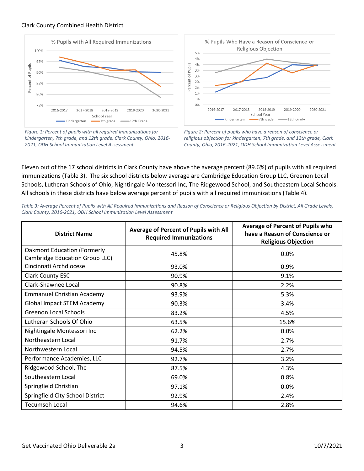



*Figure 1: Percent of pupils with all required immunizations for kindergarten, 7th grade, and 12th grade, Clark County, Ohio, 2016- 2021, ODH School Immunization Level Assessment*



*Figure 2: Percent of pupils who have a reason of conscience or religious objection for kindergarten, 7th grade, and 12th grade, Clark County, Ohio, 2016-2021, ODH School Immunization Level Assessment*

Eleven out of the 17 school districts in Clark County have above the average percent (89.6%) of pupils with all required immunizations (Table 3). The six school districts below average are Cambridge Education Group LLC, Greenon Local Schools, Lutheran Schools of Ohio, Nightingale Montessori Inc, The Ridgewood School, and Southeastern Local Schools. All schools in these districts have below average percent of pupils with all required immunizations (Table 4).

| Table 3: Average Percent of Pupils with All Required Immunizations and Reason of Conscience or Religious Objection by District, All Grade Levels, |
|---------------------------------------------------------------------------------------------------------------------------------------------------|
| Clark County, 2016-2021, ODH School Immunization Level Assessment                                                                                 |

| <b>District Name</b>                                                 | Average of Percent of Pupils with All<br><b>Required Immunizations</b> | Average of Percent of Pupils who<br>have a Reason of Conscience or<br><b>Religious Objection</b> |  |
|----------------------------------------------------------------------|------------------------------------------------------------------------|--------------------------------------------------------------------------------------------------|--|
| <b>Oakmont Education (Formerly</b><br>Cambridge Education Group LLC) | 45.8%                                                                  | 0.0%                                                                                             |  |
| Cincinnati Archdiocese                                               | 93.0%                                                                  | 0.9%                                                                                             |  |
| <b>Clark County ESC</b>                                              | 90.9%                                                                  | 9.1%                                                                                             |  |
| Clark-Shawnee Local                                                  | 90.8%                                                                  | 2.2%                                                                                             |  |
| <b>Emmanuel Christian Academy</b>                                    | 93.9%                                                                  | 5.3%                                                                                             |  |
| <b>Global Impact STEM Academy</b>                                    | 90.3%                                                                  | 3.4%                                                                                             |  |
| <b>Greenon Local Schools</b>                                         | 83.2%                                                                  | 4.5%                                                                                             |  |
| Lutheran Schools Of Ohio                                             | 63.5%                                                                  | 15.6%                                                                                            |  |
| Nightingale Montessori Inc                                           | 62.2%                                                                  | 0.0%                                                                                             |  |
| Northeastern Local                                                   | 91.7%                                                                  | 2.7%                                                                                             |  |
| Northwestern Local                                                   | 94.5%                                                                  | 2.7%                                                                                             |  |
| Performance Academies, LLC                                           | 92.7%                                                                  | 3.2%                                                                                             |  |
| Ridgewood School, The                                                | 87.5%                                                                  | 4.3%                                                                                             |  |
| Southeastern Local                                                   | 69.0%                                                                  | 0.8%                                                                                             |  |
| Springfield Christian                                                | 97.1%                                                                  | 0.0%                                                                                             |  |
| Springfield City School District                                     | 92.9%                                                                  | 2.4%                                                                                             |  |
| <b>Tecumseh Local</b>                                                | 94.6%                                                                  | 2.8%                                                                                             |  |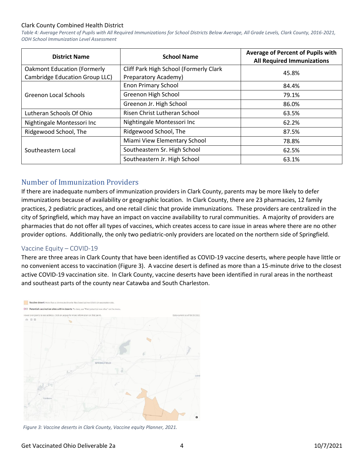*Table 4: Average Percent of Pupils with All Required Immunizations for School Districts Below Average, All Grade Levels, Clark County, 2016-2021, ODH School Immunization Level Assessment*

| <b>District Name</b>               | <b>School Name</b>                     | Average of Percent of Pupils with<br><b>All Required Immunizations</b> |  |
|------------------------------------|----------------------------------------|------------------------------------------------------------------------|--|
| <b>Oakmont Education (Formerly</b> | Cliff Park High School (Formerly Clark | 45.8%                                                                  |  |
| Cambridge Education Group LLC)     | Preparatory Academy)                   |                                                                        |  |
| Greenon Local Schools              | <b>Enon Primary School</b>             | 84.4%                                                                  |  |
|                                    | Greenon High School                    | 79.1%                                                                  |  |
|                                    | Greenon Jr. High School                | 86.0%                                                                  |  |
| Lutheran Schools Of Ohio           | Risen Christ Lutheran School           | 63.5%                                                                  |  |
| Nightingale Montessori Inc         | Nightingale Montessori Inc             | 62.2%                                                                  |  |
| Ridgewood School, The              | Ridgewood School, The                  |                                                                        |  |
|                                    | Miami View Elementary School           | 78.8%                                                                  |  |
| Southeastern Local                 | Southeastern Sr. High School           | 62.5%                                                                  |  |
|                                    | Southeastern Jr. High School           | 63.1%                                                                  |  |

## Number of Immunization Providers

If there are inadequate numbers of immunization providers in Clark County, parents may be more likely to defer immunizations because of availability or geographic location. In Clark County, there are 23 pharmacies, 12 family practices, 2 pediatric practices, and one retail clinic that provide immunizations. These providers are centralized in the city of Springfield, which may have an impact on vaccine availability to rural communities. A majority of providers are pharmacies that do not offer all types of vaccines, which creates access to care issue in areas where there are no other provider options. Additionally, the only two pediatric-only providers are located on the northern side of Springfield.

#### Vaccine Equity – COVID-19

There are three areas in Clark County that have been identified as COVID-19 vaccine deserts, where people have little or no convenient access to vaccination (Figure 3). A vaccine desert is defined as more than a 15-minute drive to the closest active COVID-19 vaccination site. In Clark County, vaccine deserts have been identified in rural areas in the northeast and southeast parts of the county near Catawba and South Charleston.



*Figure 3: Vaccine deserts in Clark County, Vaccine equity Planner, 2021.*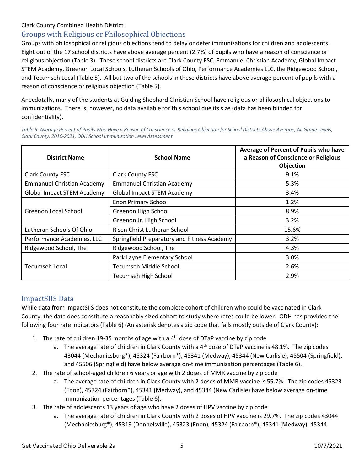## Groups with Religious or Philosophical Objections

Groups with philosophical or religious objections tend to delay or defer immunizations for children and adolescents. Eight out of the 17 school districts have above average percent (2.7%) of pupils who have a reason of conscience or religious objection (Table 3). These school districts are Clark County ESC, Emmanuel Christian Academy, Global Impact STEM Academy, Greenon Local Schools, Lutheran Schools of Ohio, Performance Academies LLC, the Ridgewood School, and Tecumseh Local (Table 5). All but two of the schools in these districts have above average percent of pupils with a reason of conscience or religious objection (Table 5).

Anecdotally, many of the students at Guiding Shephard Christian School have religious or philosophical objections to immunizations. There is, however, no data available for this school due its size (data has been blinded for confidentiality).

*Table 5: Average Percent of Pupils Who Have a Reason of Conscience or Religious Objection for School Districts Above Average, All Grade Levels, Clark County, 2016-2021, ODH School Immunization Level Assessment*

| <b>District Name</b>              | <b>School Name</b>                          | Average of Percent of Pupils who have<br>a Reason of Conscience or Religious<br>Objection |  |
|-----------------------------------|---------------------------------------------|-------------------------------------------------------------------------------------------|--|
| <b>Clark County ESC</b>           | <b>Clark County ESC</b>                     | 9.1%                                                                                      |  |
| <b>Emmanuel Christian Academy</b> | <b>Emmanuel Christian Academy</b>           | 5.3%                                                                                      |  |
| Global Impact STEM Academy        | <b>Global Impact STEM Academy</b>           | 3.4%                                                                                      |  |
|                                   | <b>Enon Primary School</b>                  | 1.2%                                                                                      |  |
| Greenon Local School              | Greenon High School                         | 8.9%                                                                                      |  |
|                                   | Greenon Jr. High School                     | 3.2%                                                                                      |  |
| Lutheran Schools Of Ohio          | Risen Christ Lutheran School                | 15.6%                                                                                     |  |
| Performance Academies, LLC        | Springfield Preparatory and Fitness Academy | 3.2%                                                                                      |  |
| Ridgewood School, The             | Ridgewood School, The                       | 4.3%                                                                                      |  |
|                                   | Park Layne Elementary School                | 3.0%                                                                                      |  |
| <b>Tecumseh Local</b>             | Tecumseh Middle School                      | 2.6%                                                                                      |  |
|                                   | <b>Tecumseh High School</b>                 | 2.9%                                                                                      |  |

## ImpactSIIS Data

While data from ImpactSIIS does not constitute the complete cohort of children who could be vaccinated in Clark County, the data does constitute a reasonably sized cohort to study where rates could be lower. ODH has provided the following four rate indicators (Table 6) (An asterisk denotes a zip code that falls mostly outside of Clark County):

- 1. The rate of children 19-35 months of age with a  $4<sup>th</sup>$  dose of DTaP vaccine by zip code
	- a. The average rate of children in Clark County with a  $4<sup>th</sup>$  dose of DTaP vaccine is 48.1%. The zip codes 43044 (Mechanicsburg\*), 45324 (Fairborn\*), 45341 (Medway), 45344 (New Carlisle), 45504 (Springfield), and 45506 (Springfield) have below average on-time immunization percentages (Table 6).
- 2. The rate of school-aged children 6 years or age with 2 doses of MMR vaccine by zip code
	- a. The average rate of children in Clark County with 2 doses of MMR vaccine is 55.7%. The zip codes 45323 (Enon), 45324 (Fairborn\*), 45341 (Medway), and 45344 (New Carlisle) have below average on-time immunization percentages (Table 6).
- 3. The rate of adolescents 13 years of age who have 2 doses of HPV vaccine by zip code
	- a. The average rate of children in Clark County with 2 doses of HPV vaccine is 29.7%. The zip codes 43044 (Mechanicsburg\*), 45319 (Donnelsville), 45323 (Enon), 45324 (Fairborn\*), 45341 (Medway), 45344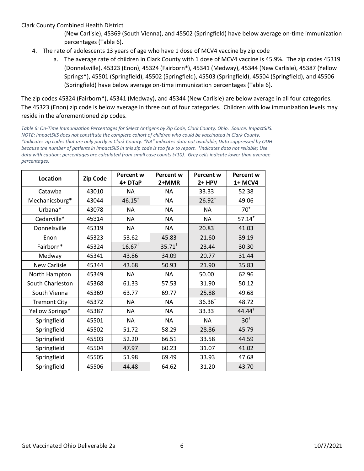- (New Carlisle), 45369 (South Vienna), and 45502 (Springfield) have below average on-time immunization percentages (Table 6).
- 4. The rate of adolescents 13 years of age who have 1 dose of MCV4 vaccine by zip code
	- a. The average rate of children in Clark County with 1 dose of MCV4 vaccine is 45.9%. The zip codes 45319 (Donnelsville), 45323 (Enon), 45324 (Fairborn\*), 45341 (Medway), 45344 (New Carlisle), 45387 (Yellow Springs\*), 45501 (Springfield), 45502 (Springfield), 45503 (Springfield), 45504 (Springfield), and 45506 (Springfield) have below average on-time immunization percentages (Table 6).

The zip codes 45324 (Fairborn\*), 45341 (Medway), and 45344 (New Carlisle) are below average in all four categories. The 45323 (Enon) zip code is below average in three out of four categories. Children with low immunization levels may reside in the aforementioned zip codes.

*Table 6: On-Time Immunization Percentages for Select Antigens by Zip Code, Clark County, Ohio. Source: ImpactSIIS. NOTE: ImpactSIIS does not constitute the complete cohort of children who could be vaccinated in Clark County. \*Indicates zip codes that are only partly in Clark County. "NA" indicates data not available; Data suppressed by ODH because the number of patients in ImpactSIIS in this zip code is too few to report. † Indicates data not reliable; Use data with caution: percentages are calculated from small case counts (<10). Grey cells indicate lower than average percentages.*

| Location            | <b>Zip Code</b> | <b>Percent w</b><br>4+ DTaP | <b>Percent w</b><br>2+MMR | <b>Percent w</b><br>2+ HPV | Percent w<br>1+ MCV4 |
|---------------------|-----------------|-----------------------------|---------------------------|----------------------------|----------------------|
| Catawba             | 43010           | <b>NA</b>                   | <b>NA</b>                 | $33.33^{+}$                | 52.38                |
| Mechanicsburg*      | 43044           | $46.15^{+}$                 | <b>NA</b>                 | $26.92^{+}$                | 49.06                |
| Urbana*             | 43078           | NA                          | <b>NA</b>                 | <b>NA</b>                  | $70^{\circ}$         |
| Cedarville*         | 45314           | <b>NA</b>                   | <b>NA</b>                 | <b>NA</b>                  | $57.14^{+}$          |
| Donnelsville        | 45319           | <b>NA</b>                   | <b>NA</b>                 | $20.83+$                   | 41.03                |
| Enon                | 45323           | 53.62                       | 45.83                     | 21.60                      | 39.19                |
| Fairborn*           | 45324           | $16.67^{+}$                 | $35.71^{+}$               | 23.44                      | 30.30                |
| Medway              | 45341           | 43.86                       | 34.09                     | 20.77                      | 31.44                |
| <b>New Carlisle</b> | 45344           | 43.68                       | 50.93                     | 21.90                      | 35.83                |
| North Hampton       | 45349           | <b>NA</b>                   | <b>NA</b>                 | $50.00^{+}$                | 62.96                |
| South Charleston    | 45368           | 61.33                       | 57.53                     | 31.90                      | 50.12                |
| South Vienna        | 45369           | 63.77                       | 69.77                     | 25.88                      | 49.68                |
| <b>Tremont City</b> | 45372           | <b>NA</b>                   | <b>NA</b>                 | 36.36 <sup>†</sup>         | 48.72                |
| Yellow Springs*     | 45387           | <b>NA</b>                   | <b>NA</b>                 | $33.33^{+}$                | 44.44 <sup>+</sup>   |
| Springfield         | 45501           | <b>NA</b>                   | <b>NA</b>                 | <b>NA</b>                  | $30+$                |
| Springfield         | 45502           | 51.72                       | 58.29                     | 28.86                      | 45.79                |
| Springfield         | 45503           | 52.20                       | 66.51                     | 33.58                      | 44.59                |
| Springfield         | 45504           | 47.97                       | 60.23                     | 31.07                      | 41.02                |
| Springfield         | 45505           | 51.98                       | 69.49                     | 33.93                      | 47.68                |
| Springfield         | 45506           | 44.48                       | 64.62                     | 31.20                      | 43.70                |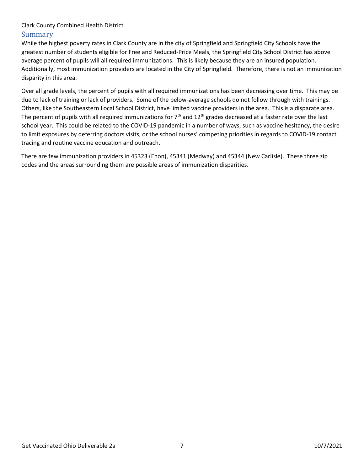While the highest poverty rates in Clark County are in the city of Springfield and Springfield City Schools have the greatest number of students eligible for Free and Reduced-Price Meals, the Springfield City School District has above average percent of pupils will all required immunizations. This is likely because they are an insured population. Additionally, most immunization providers are located in the City of Springfield. Therefore, there is not an immunization disparity in this area.

Over all grade levels, the percent of pupils with all required immunizations has been decreasing over time. This may be due to lack of training or lack of providers. Some of the below-average schools do not follow through with trainings. Others, like the Southeastern Local School District, have limited vaccine providers in the area. This is a disparate area. The percent of pupils with all required immunizations for  $7<sup>th</sup>$  and  $12<sup>th</sup>$  grades decreased at a faster rate over the last school year. This could be related to the COVID-19 pandemic in a number of ways, such as vaccine hesitancy, the desire to limit exposures by deferring doctors visits, or the school nurses' competing priorities in regards to COVID-19 contact tracing and routine vaccine education and outreach.

There are few immunization providers in 45323 (Enon), 45341 (Medway) and 45344 (New Carlisle). These three zip codes and the areas surrounding them are possible areas of immunization disparities.